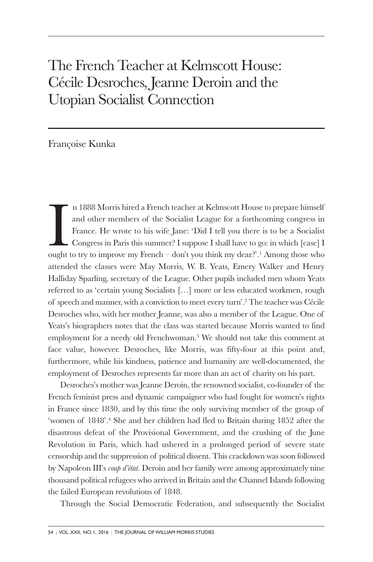## The French Teacher at Kelmscott House: Cécile Desroches, Jeanne Deroin and the Utopian Socialist Connection

## Françoise Kunka

In 1888 Morris hired a French teacher at Kelmscott House to prepare himself and other members of the Socialist League for a forthcoming congress in France. He wrote to his wife Jane: 'Did I tell you there is to be a Social n 1888 Morris hired a French teacher at Kelmscott House to prepare himself and other members of the Socialist League for a forthcoming congress in France. He wrote to his wife Jane: 'Did I tell you there is to be a Socialist Congress in Paris this summer? I suppose I shall have to go: in which [case] I attended the classes were May Morris, W. B. Yeats, Emery Walker and Henry Halliday Sparling, secretary of the League. Other pupils included men whom Yeats referred to as 'certain young Socialists […] more or less educated workmen, rough of speech and manner, with a conviction to meet every turn'. <sup>2</sup> The teacher was Cécile Desroches who, with her mother Jeanne, was also a member of the League. One of Yeats's biographers notes that the class was started because Morris wanted to find employment for a needy old Frenchwoman. <sup>3</sup> We should not take this comment at face value, however. Desroches, like Morris, was fifty-four at this point and, furthermore, while his kindness, patience and humanity are well-documented, the employment of Desroches represents far more than an act of charity on his part.

Desroches's mother was Jeanne Deroin, the renowned socialist, co-founder of the French feminist press and dynamic campaigner who had fought for women's rights in France since 1830, and by this time the only surviving member of the group of 'women of 1848'. <sup>4</sup> She and her children had fled to Britain during 1852 after the disastrous defeat of the Provisional Government, and the crushing of the June Revolution in Paris, which had ushered in a prolonged period of severe state censorship and the suppression of political dissent. This crackdown was soon followed by Napoleon III's *coup d'état*. Deroin and her family were among approximately nine thousand political refugees who arrived in Britain and the Channel Islands following the failed European revolutions of 1848.

Through the Social Democratic Federation, and subsequently the Socialist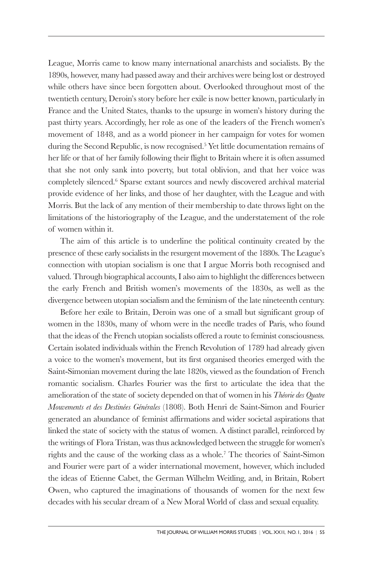League, Morris came to know many international anarchists and socialists. By the 1890s, however, many had passed away and their archives were being lost or destroyed while others have since been forgotten about. Overlooked throughout most of the twentieth century, Deroin's story before her exile is now better known, particularly in France and the United States, thanks to the upsurge in women's history during the past thirty years. Accordingly, her role as one of the leaders of the French women's movement of 1848, and as a world pioneer in her campaign for votes for women during the Second Republic, is now recognised. <sup>5</sup> Yet little documentation remains of her life or that of her family following their flight to Britain where it is often assumed that she not only sank into poverty, but total oblivion, and that her voice was completely silenced. <sup>6</sup> Sparse extant sources and newly discovered archival material provide evidence of her links, and those of her daughter, with the League and with Morris. But the lack of any mention of their membership to date throws light on the limitations of the historiography of the League, and the understatement of the role of women within it.

The aim of this article is to underline the political continuity created by the presence of these early socialists in the resurgent movement of the 1880s. The League's connection with utopian socialism is one that I argue Morris both recognised and valued. Through biographical accounts, I also aim to highlight the differences between the early French and British women's movements of the 1830s, as well as the divergence between utopian socialism and the feminism of the late nineteenth century.

Before her exile to Britain, Deroin was one of a small but significant group of women in the 1830s, many of whom were in the needle trades of Paris, who found that the ideas of the French utopian socialists offered a route to feminist consciousness. Certain isolated individuals within the French Revolution of 1789 had already given a voice to the women's movement, but its first organised theories emerged with the Saint-Simonian movement during the late 1820s, viewed as the foundation of French romantic socialism. Charles Fourier was the first to articulate the idea that the amelioration of the state of society depended on that of women in his *Théorie des Quatre Mouvements et des Destinées Générales* (1808). Both Henri de Saint-Simon and Fourier generated an abundance of feminist affirmations and wider societal aspirations that linked the state of society with the status of women. A distinct parallel, reinforced by the writings of Flora Tristan, was thus acknowledged between the struggle for women's rights and the cause of the working class as a whole. <sup>7</sup> The theories of Saint-Simon and Fourier were part of a wider international movement, however, which included the ideas of Etienne Cabet, the German Wilhelm Weitling, and, in Britain, Robert Owen, who captured the imaginations of thousands of women for the next few decades with his secular dream of a New Moral World of class and sexual equality.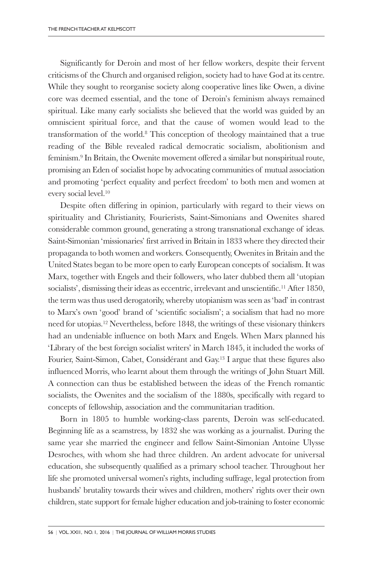Significantly for Deroin and most of her fellow workers, despite their fervent criticisms of the Church and organised religion, society had to have God at its centre. While they sought to reorganise society along cooperative lines like Owen, a divine core was deemed essential, and the tone of Deroin's feminism always remained spiritual. Like many early socialists she believed that the world was guided by an omniscient spiritual force, and that the cause of women would lead to the transformation of the world. <sup>8</sup> This conception of theology maintained that a true reading of the Bible revealed radical democratic socialism, abolitionism and feminism. <sup>9</sup> In Britain, the Owenite movement offered a similar but nonspiritual route, promising an Eden of socialist hope by advocating communities of mutual association and promoting 'perfect equality and perfect freedom' to both men and women at every social level. 10

Despite often differing in opinion, particularly with regard to their views on spirituality and Christianity, Fourierists, Saint-Simonians and Owenites shared considerable common ground, generating a strong transnational exchange of ideas. Saint-Simonian 'missionaries' first arrived in Britain in 1833 where they directed their propaganda to both women and workers. Consequently, Owenites in Britain and the United States began to be more open to early European concepts of socialism. It was Marx, together with Engels and their followers, who later dubbed them all 'utopian socialists', dismissing their ideas as eccentric, irrelevant and unscientific. <sup>11</sup> After 1850, the term was thus used derogatorily, whereby utopianism was seen as 'bad' in contrast to Marx's own 'good' brand of 'scientific socialism'; a socialism that had no more need for utopias. <sup>12</sup> Nevertheless, before 1848, the writings of these visionary thinkers had an undeniable influence on both Marx and Engels. When Marx planned his 'Library of the best foreign socialist writers' in March 1845, it included the works of Fourier, Saint-Simon, Cabet, Considérant and Gay. <sup>13</sup> I argue that these figures also influenced Morris, who learnt about them through the writings of John Stuart Mill. A connection can thus be established between the ideas of the French romantic socialists, the Owenites and the socialism of the 1880s, specifically with regard to concepts of fellowship, association and the communitarian tradition.

Born in 1805 to humble working-class parents, Deroin was self-educated. Beginning life as a seamstress, by 1832 she was working as a journalist. During the same year she married the engineer and fellow Saint-Simonian Antoine Ulysse Desroches, with whom she had three children. An ardent advocate for universal education, she subsequently qualified as a primary school teacher. Throughout her life she promoted universal women's rights, including suffrage, legal protection from husbands' brutality towards their wives and children, mothers' rights over their own children, state support for female higher education and job-training to foster economic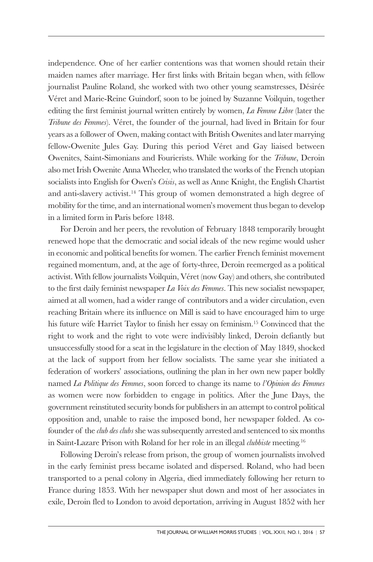independence. One of her earlier contentions was that women should retain their maiden names after marriage. Her first links with Britain began when, with fellow journalist Pauline Roland, she worked with two other young seamstresses, Désirée Véret and Marie-Reine Guindorf, soon to be joined by Suzanne Voilquin, together editing the first feminist journal written entirely by women, *La Femme Libre* (later the *Tribune des Femmes*). Véret, the founder of the journal, had lived in Britain for four years as a follower of Owen, making contact with British Owenites and later marrying fellow-Owenite Jules Gay. During this period Véret and Gay liaised between Owenites, Saint-Simonians and Fourierists. While working for the *Tribune*, Deroin also met Irish Owenite Anna Wheeler, who translated the works of the French utopian socialists into English for Owen's *Crisis*, as well as Anne Knight, the English Chartist and anti-slavery activist. <sup>14</sup> This group of women demonstrated a high degree of mobility for the time, and an international women's movement thus began to develop in a limited form in Paris before 1848.

For Deroin and her peers, the revolution of February 1848 temporarily brought renewed hope that the democratic and social ideals of the new regime would usher in economic and political benefits for women. The earlier French feminist movement regained momentum, and, at the age of forty-three, Deroin reemerged as a political activist. With fellow journalists Voilquin, Véret (now Gay) and others, she contributed to the first daily feminist newspaper *La Voix des Femmes*. This new socialist newspaper, aimed at all women, had a wider range of contributors and a wider circulation, even reaching Britain where its influence on Mill is said to have encouraged him to urge his future wife Harriet Taylor to finish her essay on feminism. <sup>15</sup> Convinced that the right to work and the right to vote were indivisibly linked, Deroin defiantly but unsuccessfully stood for a seat in the legislature in the election of May 1849, shocked at the lack of support from her fellow socialists. The same year she initiated a federation of workers' associations, outlining the plan in her own new paper boldly named *La Politique des Femmes*, soon forced to change its name to *l'Opinion des Femmes* as women were now forbidden to engage in politics. After the June Days, the government reinstituted security bonds for publishers in an attempt to control political opposition and, unable to raise the imposed bond, her newspaper folded. As cofounder of the *club des clubs* she was subsequently arrested and sentenced to six months in Saint-Lazare Prison with Roland for her role in an illegal *clubbiste* meeting. 16

Following Deroin's release from prison, the group of women journalists involved in the early feminist press became isolated and dispersed. Roland, who had been transported to a penal colony in Algeria, died immediately following her return to France during 1853. With her newspaper shut down and most of her associates in exile, Deroin fled to London to avoid deportation, arriving in August 1852 with her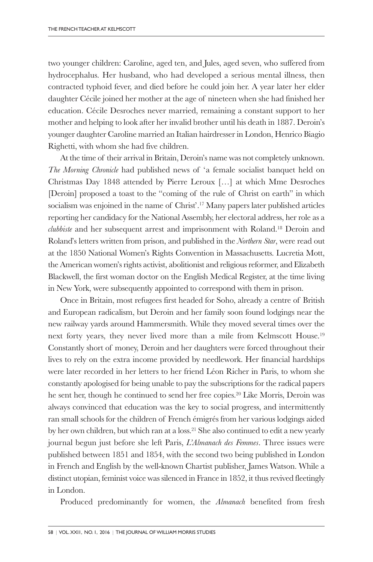two younger children: Caroline, aged ten, and Jules, aged seven, who suffered from hydrocephalus. Her husband, who had developed a serious mental illness, then contracted typhoid fever, and died before he could join her. A year later her elder daughter Cécile joined her mother at the age of nineteen when she had finished her education. Cécile Desroches never married, remaining a constant support to her mother and helping to look after her invalid brother until his death in 1887. Deroin's younger daughter Caroline married an Italian hairdresser in London, Henrico Biagio Righetti, with whom she had five children.

At the time of their arrival in Britain, Deroin's name was not completely unknown. *The Morning Chronicle* had published news of 'a female socialist banquet held on Christmas Day 1848 attended by Pierre Leroux […] at which Mme Desroches [Deroin] proposed a toast to the "coming of the rule of Christ on earth" in which socialism was enjoined in the name of Christ'. <sup>17</sup> Many papers later published articles reporting her candidacy for the National Assembly, her electoral address, her role as a *clubbiste* and her subsequent arrest and imprisonment with Roland. <sup>18</sup> Deroin and Roland's letters written from prison, and published in the *Northern Star*, were read out at the 1850 National Women's Rights Convention in Massachusetts. Lucretia Mott, the American women's rights activist, abolitionist and religious reformer, and Elizabeth Blackwell, the first woman doctor on the English Medical Register, at the time living in New York, were subsequently appointed to correspond with them in prison.

Once in Britain, most refugees first headed for Soho, already a centre of British and European radicalism, but Deroin and her family soon found lodgings near the new railway yards around Hammersmith. While they moved several times over the next forty years, they never lived more than a mile from Kelmscott House. 19 Constantly short of money, Deroin and her daughters were forced throughout their lives to rely on the extra income provided by needlework. Her financial hardships were later recorded in her letters to her friend Léon Richer in Paris, to whom she constantly apologised for being unable to pay the subscriptions for the radical papers he sent her, though he continued to send her free copies. <sup>20</sup> Like Morris, Deroin was always convinced that education was the key to social progress, and intermittently ran small schools for the children of French émigrés from her various lodgings aided by her own children, but which ran at a loss. <sup>21</sup> She also continued to edit a new yearly journal begun just before she left Paris, *L'Almanach des Femmes*. Three issues were published between 1851 and 1854, with the second two being published in London in French and English by the well-known Chartist publisher, James Watson. While a distinct utopian, feminist voice was silenced in France in 1852, it thus revived fleetingly in London.

Produced predominantly for women, the *Almanach* benefited from fresh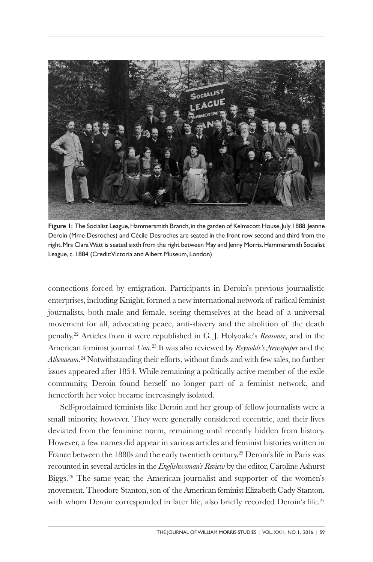

Figure I: The Socialist League, Hammersmith Branch, in the garden of Kelmscott House, July 1888. Jeanne Deroin (Mme Desroches) and Cécile Desroches are seated in the front row second and third from the right.Mrs ClaraWatt is seated sixth from the right between May and Jenny Morris.Hammersmith Socialist League, c. 1884 (Credit: Victoria and Albert Museum, London)

connections forced by emigration. Participants in Deroin's previous journalistic enterprises, including Knight, formed a new international network of radical feminist journalists, both male and female, seeing themselves at the head of a universal movement for all, advocating peace, anti-slavery and the abolition of the death penalty. <sup>22</sup> Articles from it were republished in G. J. Holyoake's *Reasoner*, and in the American feminist journal *Una*. <sup>23</sup> It was also reviewed by *Reynolds's Newspaper* and the *Athenaeum*. <sup>24</sup> Notwithstanding their efforts, without funds and with few sales, no further issues appeared after 1854. While remaining a politically active member of the exile community, Deroin found herself no longer part of a feminist network, and henceforth her voice became increasingly isolated.

Self-proclaimed feminists like Deroin and her group of fellow journalists were a small minority, however. They were generally considered eccentric, and their lives deviated from the feminine norm, remaining until recently hidden from history. However, a few names did appear in various articles and feminist histories written in France between the 1880s and the early twentieth century. <sup>25</sup> Deroin's life in Paris was recounted in several articles in the *Englishwoman's Review* by the editor, Caroline Ashurst Biggs. <sup>26</sup> The same year, the American journalist and supporter of the women's movement, Theodore Stanton, son of the American feminist Elizabeth Cady Stanton, with whom Deroin corresponded in later life, also briefly recorded Deroin's life.<sup>27</sup>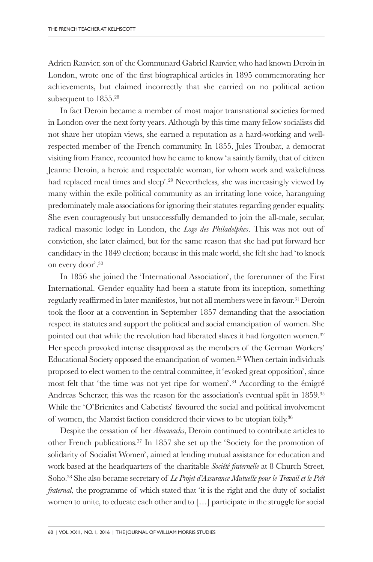Adrien Ranvier, son of the Communard Gabriel Ranvier, who had known Deroin in London, wrote one of the first biographical articles in 1895 commemorating her achievements, but claimed incorrectly that she carried on no political action subsequent to 1855. 28

In fact Deroin became a member of most major transnational societies formed in London over the next forty years. Although by this time many fellow socialists did not share her utopian views, she earned a reputation as a hard-working and wellrespected member of the French community. In 1855, Jules Troubat, a democrat visiting from France, recounted how he came to know 'a saintly family, that of citizen Jeanne Deroin, a heroic and respectable woman, for whom work and wakefulness had replaced meal times and sleep'. <sup>29</sup> Nevertheless, she was increasingly viewed by many within the exile political community as an irritating lone voice, haranguing predominately male associations for ignoring their statutes regarding gender equality. She even courageously but unsuccessfully demanded to join the all-male, secular, radical masonic lodge in London, the *Loge des Philadelphes*. This was not out of conviction, she later claimed, but for the same reason that she had put forward her candidacy in the 1849 election; because in this male world, she felt she had 'to knock on every door'. 30

In 1856 she joined the 'International Association', the forerunner of the First International. Gender equality had been a statute from its inception, something regularly reaffirmed in later manifestos, but not all members were in favour. <sup>31</sup> Deroin took the floor at a convention in September 1857 demanding that the association respect its statutes and support the political and social emancipation of women. She pointed out that while the revolution had liberated slaves it had forgotten women. 32 Her speech provoked intense disapproval as the members of the German Workers' Educational Society opposed the emancipation of women. <sup>33</sup> When certain individuals proposed to elect women to the central committee, it 'evoked great opposition', since most felt that 'the time was not yet ripe for women'. <sup>34</sup> According to the émigré Andreas Scherzer, this was the reason for the association's eventual split in 1859. 35 While the 'O'Brienites and Cabetists' favoured the social and political involvement of women, the Marxist faction considered their views to be utopian folly.<sup>36</sup>

Despite the cessation of her *Almanachs*, Deroin continued to contribute articles to other French publications. <sup>37</sup> In 1857 she set up the 'Society for the promotion of solidarity of Socialist Women', aimed at lending mutual assistance for education and work based at the headquarters of the charitable *Société fraternelle* at 8 Church Street, Soho. <sup>38</sup> She also became secretary of *Le Projet d'Assurance Mutuelle pour le Travail et le Prêt fraternal*, the programme of which stated that 'it is the right and the duty of socialist women to unite, to educate each other and to […] participate in the struggle for social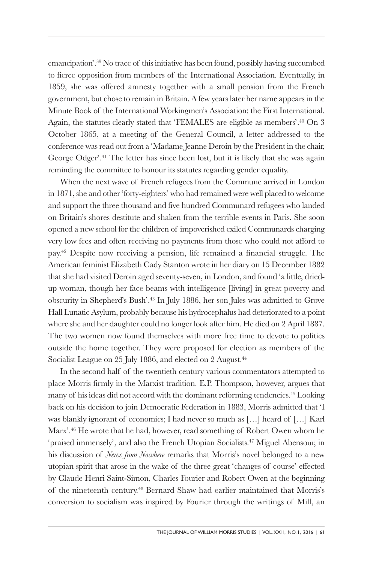emancipation'. <sup>39</sup> No trace of this initiative has been found, possibly having succumbed to fierce opposition from members of the International Association. Eventually, in 1859, she was offered amnesty together with a small pension from the French government, but chose to remain in Britain. A few years later her name appears in the Minute Book of the International Workingmen's Association: the First International. Again, the statutes clearly stated that 'FEMALES are eligible as members'. <sup>40</sup> On 3 October 1865, at a meeting of the General Council, a letter addressed to the conference was read out from a 'Madame Jeanne Deroin by the President in the chair, George Odger'. <sup>41</sup> The letter has since been lost, but it is likely that she was again reminding the committee to honour its statutes regarding gender equality.

When the next wave of French refugees from the Commune arrived in London in 1871, she and other 'forty-eighters' who had remained were well placed to welcome and support the three thousand and five hundred Communard refugees who landed on Britain's shores destitute and shaken from the terrible events in Paris. She soon opened a new school for the children of impoverished exiled Communards charging very low fees and often receiving no payments from those who could not afford to pay. <sup>42</sup> Despite now receiving a pension, life remained a financial struggle. The American feminist Elizabeth Cady Stanton wrote in her diary on 15 December 1882 that she had visited Deroin aged seventy-seven, in London, and found 'a little, driedup woman, though her face beams with intelligence [living] in great poverty and obscurity in Shepherd's Bush'. <sup>43</sup> In July 1886, her son Jules was admitted to Grove Hall Lunatic Asylum, probably because his hydrocephalus had deteriorated to a point where she and her daughter could no longer look after him. He died on 2 April 1887. The two women now found themselves with more free time to devote to politics outside the home together. They were proposed for election as members of the Socialist League on 25 July 1886, and elected on 2 August. 44

In the second half of the twentieth century various commentators attempted to place Morris firmly in the Marxist tradition. E.P. Thompson, however, argues that many of his ideas did not accord with the dominant reforming tendencies. <sup>45</sup> Looking back on his decision to join Democratic Federation in 1883, Morris admitted that 'I was blankly ignorant of economics; I had never so much as […] heard of […] Karl Marx'. <sup>46</sup> He wrote that he had, however, read something of Robert Owen whom he 'praised immensely', and also the French Utopian Socialists. <sup>47</sup> Miguel Abensour, in his discussion of *News from Nowhere* remarks that Morris's novel belonged to a new utopian spirit that arose in the wake of the three great 'changes of course' effected by Claude Henri Saint-Simon, Charles Fourier and Robert Owen at the beginning of the nineteenth century. <sup>48</sup> Bernard Shaw had earlier maintained that Morris's conversion to socialism was inspired by Fourier through the writings of Mill, an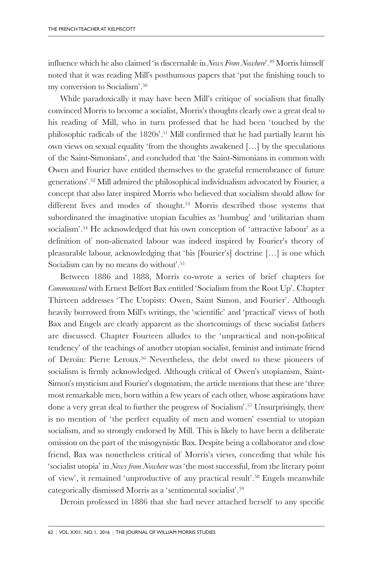influence which he also claimed 'is discernable in *News From Nowhere*'. <sup>49</sup> Morris himself noted that it was reading Mill's posthumous papers that 'put the finishing touch to my conversion to Socialism'. 50

While paradoxically it may have been Mill's critique of socialism that finally convinced Morris to become a socialist, Morris's thoughts clearly owe a great deal to his reading of Mill, who in turn professed that he had been 'touched by the philosophic radicals of the 1820s'. <sup>51</sup> Mill confirmed that he had partially learnt his own views on sexual equality 'from the thoughts awakened […] by the speculations of the Saint-Simonians', and concluded that 'the Saint-Simonians in common with Owen and Fourier have entitled themselves to the grateful remembrance of future generations'. <sup>52</sup> Mill admired the philosophical individualism advocated by Fourier, a concept that also later inspired Morris who believed that socialism should allow for different lives and modes of thought. <sup>53</sup> Morris described those systems that subordinated the imaginative utopian faculties as 'humbug' and 'utilitarian sham socialism'. <sup>54</sup> He acknowledged that his own conception of 'attractive labour' as a definition of non-alienated labour was indeed inspired by Fourier's theory of pleasurable labour, acknowledging that 'his [Fourier's] doctrine […] is one which Socialism can by no means do without'. 55

Between 1886 and 1888, Morris co-wrote a series of brief chapters for *Commonweal* with Ernest Belfort Bax entitled 'Socialism from the Root Up'. Chapter Thirteen addresses 'The Utopists: Owen, Saint Simon, and Fourier'. Although heavily borrowed from Mill's writings, the 'scientific' and 'practical' views of both Bax and Engels are clearly apparent as the shortcomings of these socialist fathers are discussed. Chapter Fourteen alludes to the 'unpractical and non-political tendency' of the teachings of another utopian socialist, feminist and intimate friend of Deroin: Pierre Leroux. <sup>56</sup> Nevertheless, the debt owed to these pioneers of socialism is firmly acknowledged. Although critical of Owen's utopianism, Saint-Simon's mysticism and Fourier's dogmatism, the article mentions that these are 'three most remarkable men, born within a few years of each other, whose aspirations have done a very great deal to further the progress of Socialism'. <sup>57</sup> Unsurprisingly, there is no mention of 'the perfect equality of men and women' essential to utopian socialism, and so strongly endorsed by Mill. This is likely to have been a deliberate omission on the part of the misogynistic Bax. Despite being a collaborator and close friend, Bax was nonetheless critical of Morris's views, conceding that while his 'socialist utopia' in *News from Nowhere* was 'the most successful, from the literary point of view', it remained 'unproductive of any practical result'. <sup>58</sup> Engels meanwhile categorically dismissed Morris as a 'sentimental socialist'. 59

Deroin professed in 1886 that she had never attached herself to any specific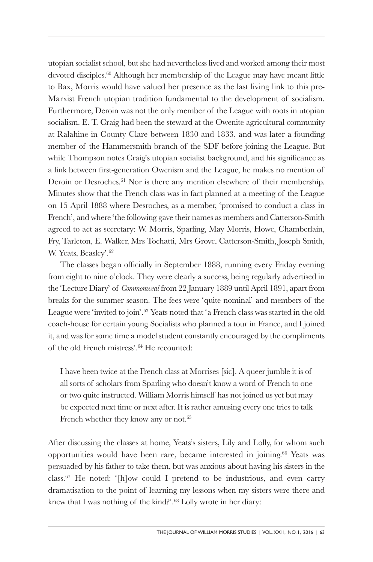utopian socialist school, but she had nevertheless lived and worked among their most devoted disciples. <sup>60</sup> Although her membership of the League may have meant little to Bax, Morris would have valued her presence as the last living link to this pre-Marxist French utopian tradition fundamental to the development of socialism. Furthermore, Deroin was not the only member of the League with roots in utopian socialism. E. T. Craig had been the steward at the Owenite agricultural community at Ralahine in County Clare between 1830 and 1833, and was later a founding member of the Hammersmith branch of the SDF before joining the League. But while Thompson notes Craig's utopian socialist background, and his significance as a link between first-generation Owenism and the League, he makes no mention of Deroin or Desroches. <sup>61</sup> Nor is there any mention elsewhere of their membership. Minutes show that the French class was in fact planned at a meeting of the League on 15 April 1888 where Desroches, as a member, 'promised to conduct a class in French', and where 'the following gave their names as members and Catterson-Smith agreed to act as secretary: W. Morris, Sparling, May Morris, Howe, Chamberlain, Fry, Tarleton, E. Walker, Mrs Tochatti, Mrs Grove, Catterson-Smith, Joseph Smith, W. Yeats, Beasley'. 62

The classes began officially in September 1888, running every Friday evening from eight to nine o'clock. They were clearly a success, being regularly advertised in the 'Lecture Diary' of *Commonweal* from 22 January 1889 until April 1891, apart from breaks for the summer season. The fees were 'quite nominal' and members of the League were 'invited to join'. <sup>63</sup> Yeats noted that 'a French class was started in the old coach-house for certain young Socialists who planned a tour in France, and I joined it, and was for some time a model student constantly encouraged by the compliments of the old French mistress'. <sup>64</sup> He recounted:

I have been twice at the French class at Morrises [sic]. A queer jumble it is of all sorts of scholars from Sparling who doesn't know a word of French to one or two quite instructed. William Morris himself has not joined us yet but may be expected next time or next after. It is rather amusing every one tries to talk French whether they know any or not. 65

After discussing the classes at home, Yeats's sisters, Lily and Lolly, for whom such opportunities would have been rare, became interested in joining. <sup>66</sup> Yeats was persuaded by his father to take them, but was anxious about having his sisters in the class. <sup>67</sup> He noted: '[h]ow could I pretend to be industrious, and even carry dramatisation to the point of learning my lessons when my sisters were there and knew that I was nothing of the kind?'. <sup>68</sup> Lolly wrote in her diary: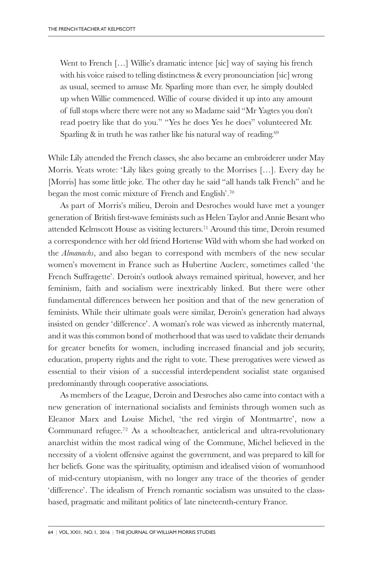Went to French [...] Willie's dramatic intence [sic] way of saying his french with his voice raised to telling distinctness & every pronounciation [sic] wrong as usual, seemed to amuse Mr. Sparling more than ever, he simply doubled up when Willie commenced. Willie of course divided it up into any amount of full stops where there were not any so Madame said "Mr Yagtes you don't read poetry like that do you." "Yes he does Yes he does" volunteered Mr. Sparling & in truth he was rather like his natural way of reading. 69

While Lily attended the French classes, she also became an embroiderer under May Morris. Yeats wrote: 'Lily likes going greatly to the Morrises […]. Every day he [Morris] has some little joke. The other day he said "all hands talk French" and he began the most comic mixture of French and English'. 70

As part of Morris's milieu, Deroin and Desroches would have met a younger generation of British first-wave feminists such as Helen Taylor and Annie Besant who attended Kelmscott House as visiting lecturers. <sup>71</sup> Around this time, Deroin resumed a correspondence with her old friend Hortense Wild with whom she had worked on the *Almanachs*, and also began to correspond with members of the new secular women's movement in France such as Hubertine Auclerc, sometimes called 'the French Suffragette'. Deroin's outlook always remained spiritual, however, and her feminism, faith and socialism were inextricably linked. But there were other fundamental differences between her position and that of the new generation of feminists. While their ultimate goals were similar, Deroin's generation had always insisted on gender 'difference'. A woman's role was viewed as inherently maternal, and it was this common bond of motherhood that was used to validate their demands for greater benefits for women, including increased financial and job security, education, property rights and the right to vote. These prerogatives were viewed as essential to their vision of a successful interdependent socialist state organised predominantly through cooperative associations.

As members of the League, Deroin and Desroches also came into contact with a new generation of international socialists and feminists through women such as Eleanor Marx and Louise Michel, 'the red virgin of Montmartre', now a Communard refugee. <sup>72</sup> As a schoolteacher, anticlerical and ultra-revolutionary anarchist within the most radical wing of the Commune, Michel believed in the necessity of a violent offensive against the government, and was prepared to kill for her beliefs. Gone was the spirituality, optimism and idealised vision of womanhood of mid-century utopianism, with no longer any trace of the theories of gender 'difference'. The idealism of French romantic socialism was unsuited to the classbased, pragmatic and militant politics of late nineteenth-century France.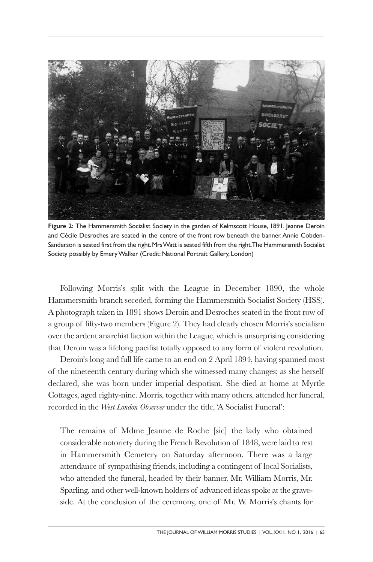

**Figure 2:** The Hammersmith Socialist Society in the garden of Kelmscott House, 1891. Jeanne Deroin and Cécile Desroches are seated in the centre of the front row beneath the banner.Annie Cobden-Sanderson is seated first from the right.MrsWatt is seated fifth from the right.The Hammersmith Socialist Society possibly by Emery Walker (Credit: National Portrait Gallery, London)

Following Morris's split with the League in December 1890, the whole Hammersmith branch seceded, forming the Hammersmith Socialist Society (HSS). A photograph taken in 1891 shows Deroin and Desroches seated in the front row of a group of fifty-two members (Figure 2). They had clearly chosen Morris's socialism over the ardent anarchist faction within the League, which is unsurprising considering that Deroin was a lifelong pacifist totally opposed to any form of violent revolution.

Deroin's long and full life came to an end on 2 April 1894, having spanned most of the nineteenth century during which she witnessed many changes; as she herself declared, she was born under imperial despotism. She died at home at Myrtle Cottages, aged eighty-nine. Morris, together with many others, attended her funeral, recorded in the *West London Observer* under the title, 'A Socialist Funeral':

The remains of Mdme Jeanne de Roche [sic] the lady who obtained considerable notoriety during the French Revolution of 1848, were laid to rest in Hammersmith Cemetery on Saturday afternoon. There was a large attendance of sympathising friends, including a contingent of local Socialists, who attended the funeral, headed by their banner. Mr. William Morris, Mr. Sparling, and other well-known holders of advanced ideas spoke at the graveside. At the conclusion of the ceremony, one of Mr. W. Morris's chants for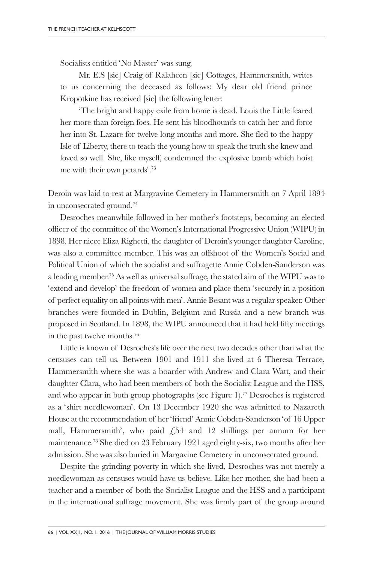Socialists entitled 'No Master' was sung.

Mr. E.S [sic] Craig of Ralaheen [sic] Cottages, Hammersmith, writes to us concerning the deceased as follows: My dear old friend prince Kropotkine has received [sic] the following letter:

'The bright and happy exile from home is dead. Louis the Little feared her more than foreign foes. He sent his bloodhounds to catch her and force her into St. Lazare for twelve long months and more. She fled to the happy Isle of Liberty, there to teach the young how to speak the truth she knew and loved so well. She, like myself, condemned the explosive bomb which hoist me with their own petards'. 73

Deroin was laid to rest at Margravine Cemetery in Hammersmith on 7 April 1894 in unconsecrated ground. 74

Desroches meanwhile followed in her mother's footsteps, becoming an elected officer of the committee of the Women's International Progressive Union (WIPU) in 1898. Her niece Eliza Righetti, the daughter of Deroin's younger daughter Caroline, was also a committee member. This was an offshoot of the Women's Social and Political Union of which the socialist and suffragette Annie Cobden-Sanderson was a leading member. <sup>75</sup> As well as universal suffrage, the stated aim of the WIPU was to 'extend and develop' the freedom of women and place them 'securely in a position of perfect equality on all points with men'. Annie Besant was a regular speaker. Other branches were founded in Dublin, Belgium and Russia and a new branch was proposed in Scotland. In 1898, the WIPU announced that it had held fifty meetings in the past twelve months. 76

Little is known of Desroches's life over the next two decades other than what the censuses can tell us. Between 1901 and 1911 she lived at 6 Theresa Terrace, Hammersmith where she was a boarder with Andrew and Clara Watt, and their daughter Clara, who had been members of both the Socialist League and the HSS, and who appear in both group photographs (see Figure 1). <sup>77</sup> Desroches is registered as a 'shirt needlewoman'. On 13 December 1920 she was admitted to Nazareth House at the recommendation of her 'friend' Annie Cobden-Sanderson 'of 16 Upper mall, Hammersmith', who paid  $\sqrt{254}$  and 12 shillings per annum for her maintenance. <sup>78</sup> She died on 23 February 1921 aged eighty-six, two months after her admission. She was also buried in Margavine Cemetery in unconsecrated ground.

Despite the grinding poverty in which she lived, Desroches was not merely a needlewoman as censuses would have us believe. Like her mother, she had been a teacher and a member of both the Socialist League and the HSS and a participant in the international suffrage movement. She was firmly part of the group around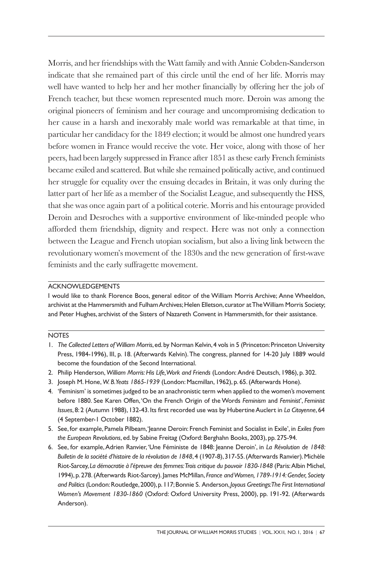Morris, and her friendships with the Watt family and with Annie Cobden-Sanderson indicate that she remained part of this circle until the end of her life. Morris may well have wanted to help her and her mother financially by offering her the job of French teacher, but these women represented much more. Deroin was among the original pioneers of feminism and her courage and uncompromising dedication to her cause in a harsh and inexorably male world was remarkable at that time, in particular her candidacy for the 1849 election; it would be almost one hundred years before women in France would receive the vote. Her voice, along with those of her peers, had been largely suppressed in France after 1851 as these early French feminists became exiled and scattered. But while she remained politically active, and continued her struggle for equality over the ensuing decades in Britain, it was only during the latter part of her life as a member of the Socialist League, and subsequently the HSS, that she was once again part of a political coterie. Morris and his entourage provided Deroin and Desroches with a supportive environment of like-minded people who afforded them friendship, dignity and respect. Here was not only a connection between the League and French utopian socialism, but also a living link between the revolutionary women's movement of the 1830s and the new generation of first-wave feminists and the early suffragette movement.

## ACKNOWLEDGEMENTS

I would like to thank Florence Boos, general editor of the William Morris Archive; Anne Wheeldon, archivist at the Hammersmith and Fulham Archives; Helen Elletson, curator at The William Morris Society; and Peter Hughes, archivist of the Sisters of Nazareth Convent in Hammersmith, for their assistance.

## **NOTES**

- 1. *The Collected Letters of William Morris*,ed.by Norman Kelvin,4 vols in 5 (Princeton:Princeton University Press, 1984-1996), III, p. 18. (Afterwards Kelvin).The congress, planned for 14-20 July 1889 would become the foundation of the Second International.
- 2. Philip Henderson, *William Morris:His Life,Work and Friends* (London:André Deutsch, 1986), p. 302.
- 3. Joseph M. Hone, *W. B.Yeats 1865-1939* (London: Macmillan, 1962), p. 65.(Afterwards Hone).
- 4. 'Feminism' is sometimes judged to be an anachronistic term when applied to the women's movement before 1880. See Karen Offen, 'On the French Origin of the Words *Feminism* and *Feminist*', *Feminist Issues*, 8: 2 (Autumn 1988), 132-43. Its first recorded use was by Hubertine Auclert in *La Citoyenne*, 64 (4 September-1 October 1882).
- 5. See, for example, Pamela Pilbeam,'Jeanne Deroin: French Feminist and Socialist in Exile', in *Exiles from the European Revolutions*, ed. by Sabine Freitag (Oxford: Berghahn Books, 2003), pp. 275-94.
- 6. See, for example,Adrien Ranvier, 'Une Féministe de 1848: Jeanne Deroin', in *La Révolution de 1848: Bulletin de la société d'histoire de la révolution de 1848*,4 (1907-8),317-55.(Afterwards Ranvier).Michèle Riot-Sarcey, *La démocratie à l'épreuve des femmes:Trois critique du pouvoir 1830-1848* (Paris:Albin Michel, 1994), p. 278.(Afterwards Riot-Sarcey). James McMillan, *France andWomen, 1789-1914:Gender, Society and Politics* (London:Routledge,2000),p.117;Bonnie S. Anderson,*Joyous Greetings:The First International Women's Movement 1830-1860* (Oxford: Oxford University Press, 2000), pp. 191-92. (Afterwards Anderson).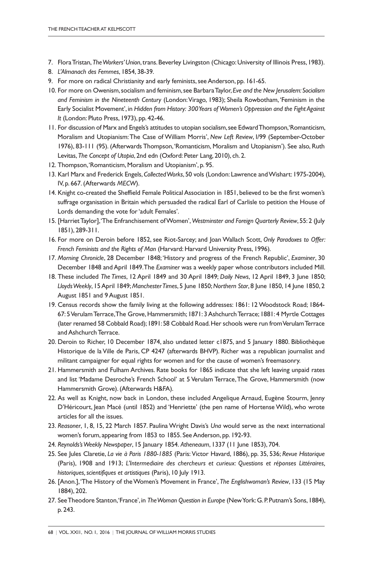- 7. FloraTristan,*TheWorkers'Union*,trans.Beverley Livingston (Chicago:University of Illinois Press, 1983).
- 8. *L'Almanach des Femmes*, 1854, 38-39.
- 9. For more on radical Christianity and early feminists, see Anderson, pp. 161-65.
- 10. For more on Owenism,socialism and feminism,see BarbaraTaylor,*Eve and the New Jerusalem:Socialism and Feminism in the Nineteenth Century* (London:Virago, 1983); Sheila Rowbotham, 'Feminism in the Early Socialist Movement', in *Hidden from History: 300Years of Women's Oppression and the Fight Against It* (London: Pluto Press, 1973), pp. 42-46.
- 11. For discussion of Marx and Engels's attitudes to utopian socialism,see EdwardThompson,'Romanticism, Moralism and Utopianism:The Case of William Morris', *New Left Review*, I/99 (September-October 1976), 83-111 (95). (Afterwards Thompson,'Romanticism, Moralism and Utopianism'). See also, Ruth Levitas, *The Concept of Utopia*, 2nd edn (Oxford: Peter Lang, 2010), ch. 2.
- 12. Thompson, 'Romanticism, Moralism and Utopianism', p. 95.
- 13. Karl Marx and Frederick Engels,*CollectedWorks*, 50 vols (London: Lawrence andWishart: 1975-2004), IV, p. 667.(Afterwards *MECW*).
- 14. Knight co-created the Sheffield Female PoliticalAssociation in 1851, believed to be the first women's suffrage organisation in Britain which persuaded the radical Earl of Carlisle to petition the House of Lords demanding the vote for'adult Females'.
- 15. [HarrietTaylor],'The Enfranchisement ofWomen',*Westminster and Foreign Quarterly Review*, 55: 2 (July 1851), 289-311.
- 16. For more on Deroin before 1852, see Riot-Sarcey; and Joan Wallach Scott, *Only Paradoxes to Offer: French Feminists and the Rights of Man* (Harvard: Harvard University Press, 1996).
- 17. *Morning Chronicle*, 28 December 1848; 'History and progress of the French Republic', *Examiner*, 30 December 1848 andApril 1849.The *Examiner* was a weekly paper whose contributors included Mill.
- 18. These included *The Times*, 12 April 1849 and 30 April 1849; *Daily News*, 12 April 1849, 3 June 1850; *LloydsWeekly*, 15April 1849; *ManchesterTimes*, 5 June 1850;*Northern Star*, 8 June 1850, 14 June 1850, 2 August 1851 and 9August 1851.
- 19. Census records show the family living at the following addresses: 1861: 12Woodstock Road; 1864- 67: 5VerulamTerrace,The Grove,Hammersmith; 1871: 3AshchurchTerrace; 1881: 4 Myrtle Cottages (later renamed 58 Cobbald Road);1891:58 Cobbald Road.Her schools were run fromVerulamTerrace and Ashchurch Terrace.
- 20. Deroin to Richer, 10 December 1874, also undated letter c1875, and 5 January 1880. Bibliothèque Historique de la Ville de Paris, CP 4247 (afterwards BHVP). Richer was a republican journalist and militant campaigner for equal rights for women and for the cause of women's freemasonry.
- 21. Hammersmith and Fulham Archives. Rate books for 1865 indicate that she left leaving unpaid rates and list 'Madame Desroche's French School' at 5 Verulam Terrace,The Grove, Hammersmith (now Hammersmith Grove).(Afterwards H&FA).
- 22. As well as Knight, now back in London, these included Angelique Arnaud, Eugène Stourm, Jenny D'Héricourt, Jean Macé (until 1852) and 'Henriette' (the pen name of Hortense Wild), who wrote articles for all the issues.
- 23. *Reasoner*, 1, 8, 15, 22 March 1857. Paulina Wright Davis's *Una* would serve as the next international women's forum, appearing from 1853 to 1855. See Anderson, pp. 192-93.
- 24. *Reynolds'sWeekly Newspaper*, 15 January 1854. *Atheneaum*, 1337 (11 June 1853), 704.
- 25. See Jules Claretie, *La vie à Paris 1880-1885* (Paris:Victor Havard, 1886), pp. 35, 536; *Revue Historique* (Paris), 1908 and 1913; *L'Intermediaire des chercheurs et curieux: Questions et réponses Littéraires, historiques,scientifiques et artistiques* (Paris), 10 July 1913.
- 26. [Anon.],'The History of theWomen's Movement in France', *The Englishwoman's Review*, 133 (15 May 1884), 202.
- 27. SeeTheodore Stanton,'France', in *TheWoman Question in Europe* (NewYork:G.P.Putnam's Sons,1884), p. 243.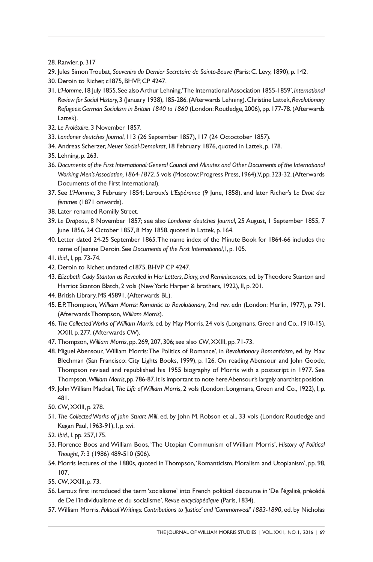- 28. Ranvier, p. 317
- 29. Jules SimonTroubat, *Souvenirs du Dernier Secretaire de Sainte-Beuve* (Paris: C. Levy, 1890), p. 142.
- 30. Deroin to Richer, c1875, BHVP, CP 4247.
- 31. *L'Homme*,18 July 1855.See alsoArthur Lehning,'The InternationalAssociation 1855-1859',*International Review for Social History,*3 (January 1938),185-286.(Afterwards Lehning).Christine Lattek,*Revolutionary Refugees:German Socialism in Britain 1840 to 1860* (London:Routledge, 2006), pp. 177-78.(Afterwards Lattek).
- 32. *Le Prolétaire*, 3 November 1857.
- 33. *Londoner deutches Journal*, 113 (26 September 1857), 117 (24 Octoctober 1857).
- 34. Andreas Scherzer,*Neuer Social-Demokrat*, 18 February 1876, quoted in Lattek, p. 178.
- 35. Lehning, p. 263.
- 36. *Documents of the First International:General Council and Minutes and Other Documents of the International Working Men's Association,1864-1872*,5 vols (Moscow:Progress Press,1964),V,pp.323-32.(Afterwards Documents of the First International).
- 37. See *L'Homme*, 3 February 1854; Leroux's *L'Espérance* (9 June, 1858), and later Richer's *Le Droit des femmes* (1871 onwards).
- 38. Later renamed Romilly Street.
- 39. *Le Drapeau*, 8 November 1857; see also *Londoner deutches Journal*, 25 August, 1 September 1855, 7 June 1856, 24 October 1857, 8 May 1858, quoted in Lattek, p. 164.
- 40. Letter dated 24-25 September 1865.The name index of the Minute Book for 1864-66 includes the name of Jeanne Deroin. See *Documents of the First International*, I, p. 105.
- 41. *Ibid.*, I, pp. 73-74.
- 42. Deroin to Richer, undated c1875, BHVP CP 4247.
- 43. *Elizabeth Cady Stanton as Revealed in Her Letters,Diary, and Reminiscences*, ed. byTheodore Stanton and Harriot Stanton Blatch, 2 vols (NewYork: Harper & brothers, 1922), II, p. 201.
- 44. British Library, MS 45891. (Afterwards BL).
- 45. E.P.Thompson, *William Morris: Romantic to Revolutionary*, 2nd rev. edn (London: Merlin, 1977), p. 791. (AfterwardsThompson, *William Morris*).
- 46. *The CollectedWorks of William Morris*, ed. by May Morris, 24 vols (Longmans,Green and Co., 1910-15), XXIII, p. 277.(Afterwards *CW*).
- 47. Thompson, *William Morris*, pp. 269, 207, 306;see also *CW*, XXIII, pp. 71-73.
- 48. Miguel Abensour,'William Morris:The Politics of Romance', in *Revolutionary Romanticism*, ed. by Max Blechman (San Francisco: City Lights Books, 1999), p. 126. On reading Abensour and John Goode, Thompson revised and republished his 1955 biography of Morris with a postscript in 1977. See Thompson,*William Morris*,pp.786-87.It is important to note hereAbensour's largely anarchist position.
- 49. JohnWilliam Mackail, *The Life ofWilliam Morris*, 2 vols (London: Longmans, Green and Co., 1922), I, p. 481.
- 50. *CW*, XXIII, p. 278.
- 51. *The Collected Works of John Stuart Mill*, ed. by John M. Robson et al., 33 vols (London: Routledge and Kegan Paul, 1963-91), I, p. xvi.
- 52. *Ibid.*, I, pp. 257,175.
- 53. Florence Boos and William Boos, 'The Utopian Communism of William Morris', *History of Political Thought*, 7: 3 (1986) 489-510 (506).
- 54. Morris lectures of the 1880s, quoted in Thompson,'Romanticism, Moralism and Utopianism', pp. 98, 107.
- 55. *CW*, XXIII, p. 73.
- 56. Leroux first introduced the term 'socialisme' into French political discourse in 'De l'égalité, précédé de De l'individualisme et du socialisme', *Revue encyclopédique* (Paris, 1834).
- 57. William Morris, *PoliticalWritings: Contributions to 'Justice' and 'Commonweal' 1883-1890*, ed. by Nicholas